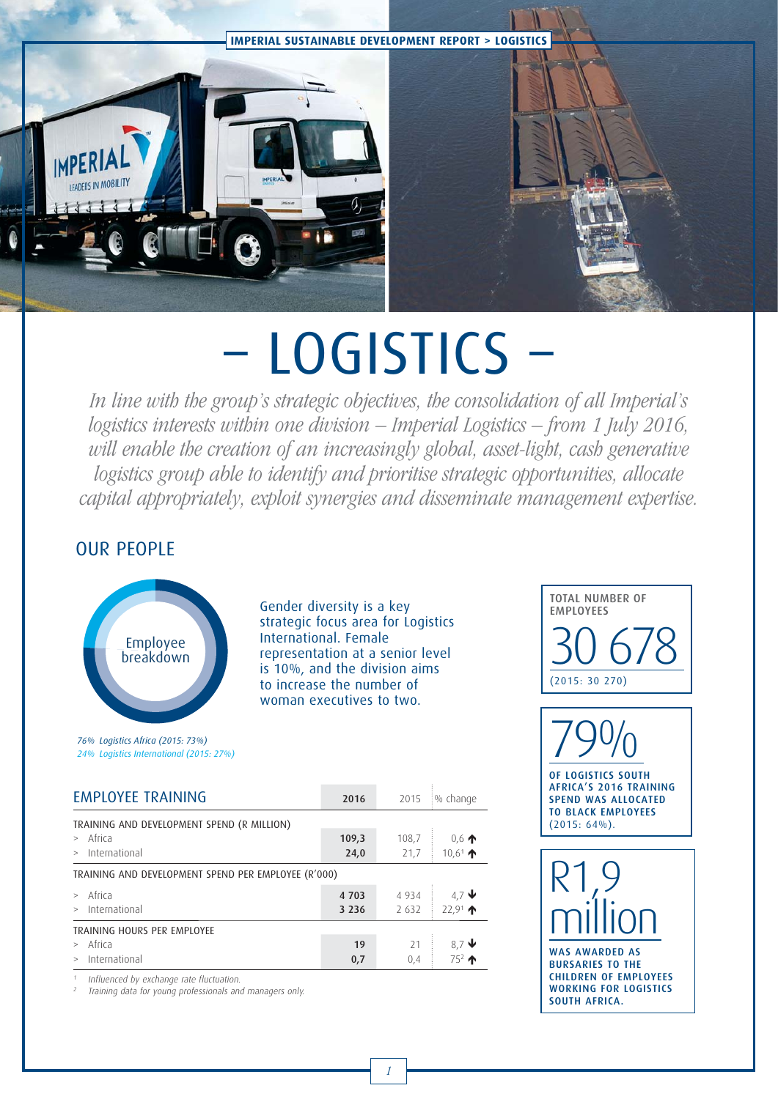

# – LOGISTICS –

In line with the group's strategic objectives, the consolidation of all Imperial's logistics interests within one division – Imperial Logistics – from 1 July 2016, will enable the creation of an increasingly global, asset-light, cash generative logistics group able to identify and prioritise strategic opportunities, allocate capital appropriately, exploit synergies and disseminate management expertise.

### OUR PEOPLE



Gender diversity is a key strategic focus area for Logistics International. Female representation at a senior level is 10%, and the division aims to increase the number of woman executives to two.



| ZUIU                                                |         | $2013 + 90$ CHONG                |
|-----------------------------------------------------|---------|----------------------------------|
|                                                     |         |                                  |
| 109,3                                               | 108,7   | $0,6$ 个                          |
| 24,0                                                | 21,7    | $10.6$ <sup>1</sup> $\spadesuit$ |
| TRAINING AND DEVELOPMENT SPEND PER EMPLOYEE (R'000) |         |                                  |
| 4703                                                | 4 9 3 4 | 4.7 $\downarrow$                 |
| 3 2 3 6                                             | 2 6 3 2 | $22.91 \text{ A}$                |
|                                                     |         |                                  |
| 19                                                  | 21      | $8,7$ ↓                          |
| 0,7                                                 | 0,4     | $75^2$ $\uparrow$                |
|                                                     |         |                                  |

Influenced by exchange rate fluctuation.

<sup>2</sup> Training data for young professionals and managers only.



OF LOGISTICS SOUTH AFRICA'S 2016 TRAINING SPEND WAS ALLOCATED TO BLACK EMPLOYEES  $(2015: 64\%)$ .

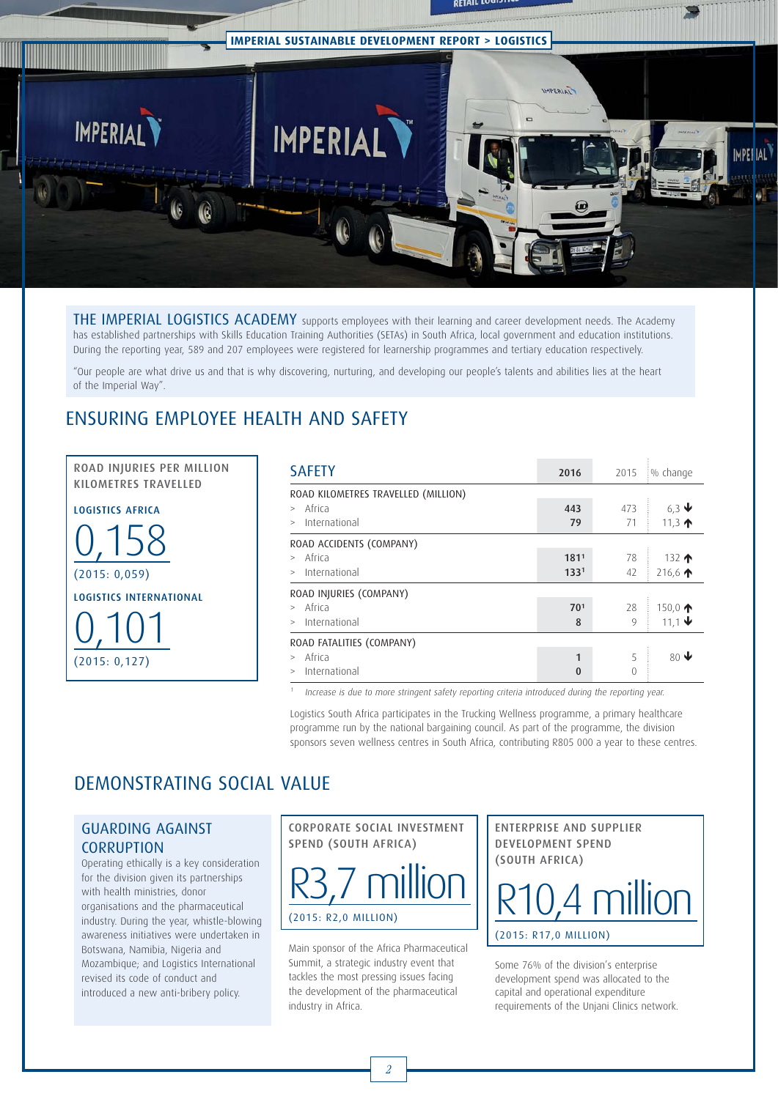

THE IMPERIAL LOGISTICS ACADEMY supports employees with their learning and career development needs. The Academy has established partnerships with Skills Education Training Authorities (SETAs) in South Africa, local government and education institutions. During the reporting year, 589 and 207 employees were registered for learnership programmes and tertiary education respectively.

"Our people are what drive us and that is why discovering, nurturing, and developing our people's talents and abilities lies at the heart of the Imperial Way".

## ENSURING EMPLOYEE HEALTH AND SAFETY

ROAD INJURIES PER MILLION<br>KILOMETRES TRAVELLED

**LOGISTICS AFRICA** 0,158 (2015: 0,059) 0,101 (2015: 0,127)

| <b>SAFETY</b>                                                                 | 2016                     | 2015          | :% change                                      |
|-------------------------------------------------------------------------------|--------------------------|---------------|------------------------------------------------|
| ROAD KILOMETRES TRAVELLED (MILLION)<br>Africa<br>$\geq$<br>International<br>> | 443<br>79                | 473<br>71     | 6.3 $\blacktriangleright$<br>11,3 $\spadesuit$ |
| ROAD ACCIDENTS (COMPANY)<br>> Africa<br>> International                       | 1811<br>133 <sup>1</sup> | 78<br>42      | 132 $\spadesuit$<br>216,6 $\spadesuit$         |
| ROAD INJURIES (COMPANY)<br>> Africa<br>> International                        | 70 <sup>1</sup><br>8     | 28<br>9       | 150,0 $\spadesuit$<br>11,1 $\blacklozenge$     |
| ROAD FATALITIES (COMPANY)<br>Africa<br>International<br>>                     | 1<br>0                   | 5<br>$\Omega$ | 80 $\blacklozenge$                             |

Increase is due to more stringent safety reporting criteria introduced during the reporting year.

Logistics South Africa participates in the Trucking Wellness programme, a primary healthcare programme run by the national bargaining council. As part of the programme, the division sponsors seven wellness centres in South Africa, contributing R805 000 a year to these centres.

## DEMONSTRATING SOCIAL VALUE

#### GUARDING AGAINST **CORRUPTION**

Operating ethically is a key consideration for the division given its partnerships with health ministries, donor organisations and the pharmaceutical industry. During the year, whistle-blowing awareness initiatives were undertaken in Botswana, Namibia, Nigeria and Mozambique; and Logistics International revised its code of conduct and introduced a new anti-bribery policy.



Main sponsor of the Africa Pharmaceutical Summit, a strategic industry event that tackles the most pressing issues facing the development of the pharmaceutical industry in Africa.

ENTERPRISE AND SUPPLIER<br>DEVELOPMENT SPEND (SOUTH AFRICA)  $\sum_{i=1}^{n}$ 



Some 76% of the division's enterprise development spend was allocated to the capital and operational expenditure requirements of the Unjani Clinics network.